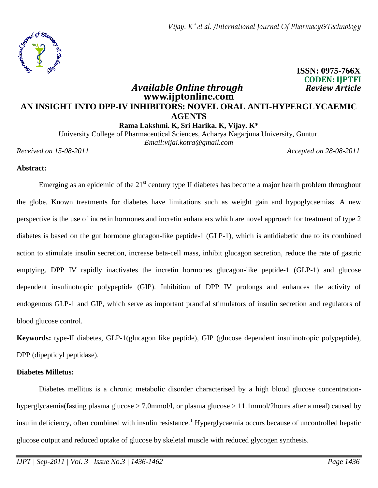

 **ISSN: 0975-766X CODEN: IJPTFI** 

# **www.ijptonline.com AN INSIGHT INTO DPP-IV INHIBITORS: NOVEL ORAL ANTI-HYPERGLYCAEMIC AGENTS**

*<i>Available Online through* 

**Rama Lakshmi. K, Sri Harika. K, Vijay. K\*** 

University College of Pharmaceutical Sciences, Acharya Nagarjuna University, Guntur. *Email:vijai.kotra@gmail.com*

*Received on 15-08-2011 Accepted on 28-08-2011*

#### **Abstract:**

Emerging as an epidemic of the  $21<sup>st</sup>$  century type II diabetes has become a major health problem throughout the globe. Known treatments for diabetes have limitations such as weight gain and hypoglycaemias. A new perspective is the use of incretin hormones and incretin enhancers which are novel approach for treatment of type 2 diabetes is based on the gut hormone glucagon-like peptide-1 (GLP-1), which is antidiabetic due to its combined action to stimulate insulin secretion, increase beta-cell mass, inhibit glucagon secretion, reduce the rate of gastric emptying. DPP IV rapidly inactivates the incretin hormones glucagon-like peptide-1 (GLP-1) and glucose dependent insulinotropic polypeptide (GIP). Inhibition of DPP IV prolongs and enhances the activity of endogenous GLP-1 and GIP, which serve as important prandial stimulators of insulin secretion and regulators of blood glucose control.

**Keywords:** type-II diabetes, GLP-1(glucagon like peptide), GIP (glucose dependent insulinotropic polypeptide), DPP (dipeptidyl peptidase).

#### **Diabetes Milletus:**

 Diabetes mellitus is a chronic metabolic disorder characterised by a high blood glucose concentrationhyperglycaemia(fasting plasma glucose > 7.0mmol/l, or plasma glucose > 11.1mmol/2hours after a meal) caused by insulin deficiency, often combined with insulin resistance.<sup>1</sup> Hyperglycaemia occurs because of uncontrolled hepatic glucose output and reduced uptake of glucose by skeletal muscle with reduced glycogen synthesis.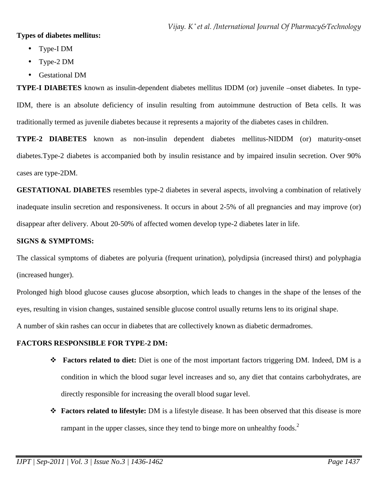#### **Types of diabetes mellitus:**

- Type-I DM
- Type-2 DM
- Gestational DM

**TYPE-I DIABETES** known as insulin-dependent diabetes mellitus IDDM (or) juvenile –onset diabetes. In type-IDM, there is an absolute deficiency of insulin resulting from autoimmune destruction of Beta cells. It was traditionally termed as juvenile diabetes because it represents a majority of the diabetes cases in children.

**TYPE-2 DIABETES** known as non-insulin dependent diabetes mellitus-NIDDM (or) maturity-onset diabetes.Type-2 diabetes is accompanied both by insulin resistance and by impaired insulin secretion. Over 90% cases are type-2DM.

**GESTATIONAL DIABETES** resembles type-2 diabetes in several aspects, involving a combination of relatively inadequate insulin secretion and responsiveness. It occurs in about 2-5% of all pregnancies and may improve (or) disappear after delivery. About 20-50% of affected women develop type-2 diabetes later in life.

## **SIGNS & SYMPTOMS:**

The classical symptoms of diabetes are polyuria (frequent urination), polydipsia (increased thirst) and polyphagia (increased hunger).

Prolonged high blood glucose causes glucose absorption, which leads to changes in the shape of the lenses of the eyes, resulting in vision changes, sustained sensible glucose control usually returns lens to its original shape.

A number of skin rashes can occur in diabetes that are collectively known as diabetic dermadromes.

## **FACTORS RESPONSIBLE FOR TYPE-2 DM:**

- **Factors related to diet:** Diet is one of the most important factors triggering DM. Indeed, DM is a condition in which the blood sugar level increases and so, any diet that contains carbohydrates, are directly responsible for increasing the overall blood sugar level.
- **Factors related to lifestyle:** DM is a lifestyle disease. It has been observed that this disease is more rampant in the upper classes, since they tend to binge more on unhealthy foods.<sup>2</sup>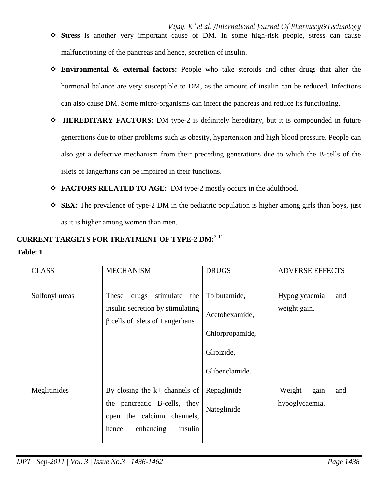- *Vijay. K \* et al. /International Journal Of Pharmacy&Technology* **Stress** is another very important cause of DM. In some high-risk people, stress can cause malfunctioning of the pancreas and hence, secretion of insulin.
- **Environmental & external factors:** People who take steroids and other drugs that alter the hormonal balance are very susceptible to DM, as the amount of insulin can be reduced. Infections can also cause DM. Some micro-organisms can infect the pancreas and reduce its functioning.
- **EXEMBRARY FACTORS:** DM type-2 is definitely hereditary, but it is compounded in future generations due to other problems such as obesity, hypertension and high blood pressure. People can also get a defective mechanism from their preceding generations due to which the B-cells of the islets of langerhans can be impaired in their functions.
- **FACTORS RELATED TO AGE:** DM type-2 mostly occurs in the adulthood.
- **SEX:** The prevalence of type-2 DM in the pediatric population is higher among girls than boys, just as it is higher among women than men.

# **CURRENT TARGETS FOR TREATMENT OF TYPE-2 DM:**3-11

## **Table: 1**

| <b>CLASS</b>   | <b>MECHANISM</b>                                                                                                               | <b>DRUGS</b>                                                                      | <b>ADVERSE EFFECTS</b>                  |
|----------------|--------------------------------------------------------------------------------------------------------------------------------|-----------------------------------------------------------------------------------|-----------------------------------------|
| Sulfonyl ureas | stimulate<br>the<br>These<br>drugs<br>insulin secretion by stimulating<br>$\beta$ cells of islets of Langerhans                | Tolbutamide,<br>Acetohexamide,<br>Chlorpropamide,<br>Glipizide,<br>Glibenclamide. | Hypoglycaemia<br>and<br>weight gain.    |
| Meglitinides   | By closing the $k+$ channels of<br>the pancreatic B-cells, they<br>open the calcium channels,<br>insulin<br>enhancing<br>hence | Repaglinide<br>Nateglinide                                                        | gain<br>Weight<br>and<br>hypoglycaemia. |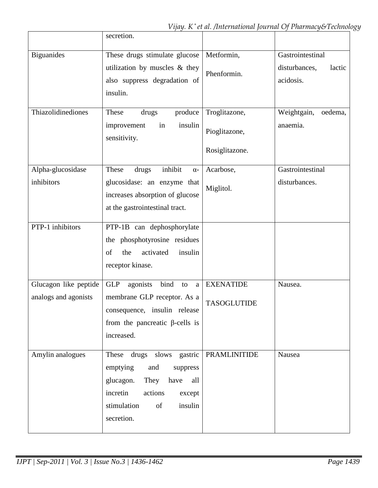|                                               | secretion.                                                                                                                                                                  |                                                  |                                                          |
|-----------------------------------------------|-----------------------------------------------------------------------------------------------------------------------------------------------------------------------------|--------------------------------------------------|----------------------------------------------------------|
| <b>Biguanides</b>                             | These drugs stimulate glucose<br>utilization by muscles & they<br>also suppress degradation of<br>insulin.                                                                  | Metformin,<br>Phenformin.                        | Gastrointestinal<br>disturbances,<br>lactic<br>acidosis. |
| Thiazolidinediones                            | produce<br>These<br>drugs<br>insulin<br>improvement<br>in<br>sensitivity.                                                                                                   | Troglitazone,<br>Pioglitazone,<br>Rosiglitazone. | Weightgain,<br>oedema,<br>anaemia.                       |
| Alpha-glucosidase<br>inhibitors               | inhibit<br>These<br>drugs<br>$\alpha$ -<br>glucosidase: an enzyme that<br>increases absorption of glucose<br>at the gastrointestinal tract.                                 | Acarbose,<br>Miglitol.                           | Gastrointestinal<br>disturbances.                        |
| PTP-1 inhibitors                              | PTP-1B can dephosphorylate<br>the phosphotyrosine residues<br>activated<br>the<br>insulin<br>of<br>receptor kinase.                                                         |                                                  |                                                          |
| Glucagon like peptide<br>analogs and agonists | bind<br><b>GLP</b><br>agonists<br>to<br>a<br>membrane GLP receptor. As a<br>consequence, insulin release<br>from the pancreatic $\beta$ -cells is<br>increased.             | <b>EXENATIDE</b><br><b>TASOGLUTIDE</b>           | Nausea.                                                  |
| Amylin analogues                              | These drugs slows gastric<br>emptying<br>and<br>suppress<br>They<br>glucagon.<br>have<br>all<br>incretin<br>actions<br>except<br>of<br>insulin<br>stimulation<br>secretion. | PRAMLINITIDE                                     | Nausea                                                   |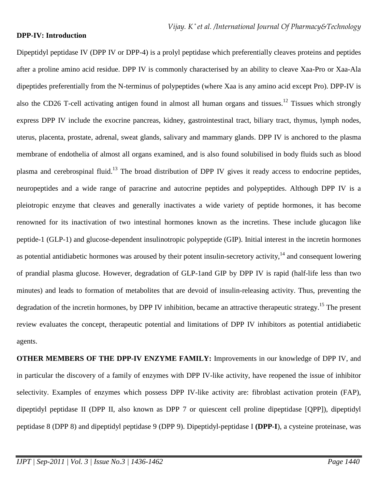#### **DPP-IV: Introduction**

Dipeptidyl peptidase IV (DPP IV or DPP-4) is a prolyl peptidase which preferentially cleaves proteins and peptides after a proline amino acid residue. DPP IV is commonly characterised by an ability to cleave Xaa-Pro or Xaa-Ala dipeptides preferentially from the N-terminus of polypeptides (where Xaa is any amino acid except Pro). DPP-IV is also the CD26 T-cell activating antigen found in almost all human organs and tissues.<sup>12</sup> Tissues which strongly express DPP IV include the exocrine pancreas, kidney, gastrointestinal tract, biliary tract, thymus, lymph nodes, uterus, placenta, prostate, adrenal, sweat glands, salivary and mammary glands. DPP IV is anchored to the plasma membrane of endothelia of almost all organs examined, and is also found solubilised in body fluids such as blood plasma and cerebrospinal fluid.<sup>13</sup> The broad distribution of DPP IV gives it ready access to endocrine peptides, neuropeptides and a wide range of paracrine and autocrine peptides and polypeptides. Although DPP IV is a pleiotropic enzyme that cleaves and generally inactivates a wide variety of peptide hormones, it has become renowned for its inactivation of two intestinal hormones known as the incretins. These include glucagon like peptide-1 (GLP-1) and glucose-dependent insulinotropic polypeptide (GIP). Initial interest in the incretin hormones as potential antidiabetic hormones was aroused by their potent insulin-secretory activity, $14$  and consequent lowering of prandial plasma glucose. However, degradation of GLP-1and GIP by DPP IV is rapid (half-life less than two minutes) and leads to formation of metabolites that are devoid of insulin-releasing activity. Thus, preventing the degradation of the incretin hormones, by DPP IV inhibition, became an attractive therapeutic strategy.<sup>15</sup> The present review evaluates the concept, therapeutic potential and limitations of DPP IV inhibitors as potential antidiabetic agents.

**OTHER MEMBERS OF THE DPP-IV ENZYME FAMILY:** Improvements in our knowledge of DPP IV, and in particular the discovery of a family of enzymes with DPP IV-like activity, have reopened the issue of inhibitor selectivity. Examples of enzymes which possess DPP IV-like activity are: fibroblast activation protein (FAP), dipeptidyl peptidase II (DPP II, also known as DPP 7 or quiescent cell proline dipeptidase [QPP]), dipeptidyl peptidase 8 (DPP 8) and dipeptidyl peptidase 9 (DPP 9). Dipeptidyl-peptidase I **(DPP-I**), a cysteine proteinase, was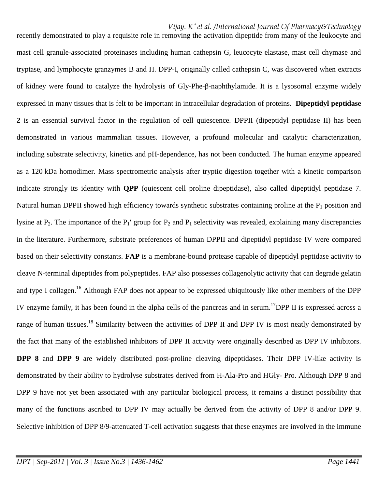recently demonstrated to play a requisite role in removing the activation dipeptide from many of the leukocyte and mast cell granule-associated proteinases including human cathepsin G, leucocyte elastase, mast cell chymase and tryptase, and lymphocyte granzymes B and H. DPP-I, originally called cathepsin C, was discovered when extracts of kidney were found to catalyze the hydrolysis of Gly-Phe-β-naphthylamide. It is a lysosomal enzyme widely expressed in many tissues that is felt to be important in intracellular degradation of proteins. **Dipeptidyl peptidase 2** is an essential survival factor in the regulation of cell quiescence. DPPII (dipeptidyl peptidase II) has been demonstrated in various mammalian tissues. However, a profound molecular and catalytic characterization, including substrate selectivity, kinetics and pH-dependence, has not been conducted. The human enzyme appeared as a 120 kDa homodimer. Mass spectrometric analysis after tryptic digestion together with a kinetic comparison indicate strongly its identity with **QPP** (quiescent cell proline dipeptidase), also called dipeptidyl peptidase 7. Natural human DPPII showed high efficiency towards synthetic substrates containing proline at the  $P_1$  position and lysine at  $P_2$ . The importance of the  $P_1'$  group for  $P_2$  and  $P_1$  selectivity was revealed, explaining many discrepancies in the literature. Furthermore, substrate preferences of human DPPII and dipeptidyl peptidase IV were compared based on their selectivity constants. **FAP** is a membrane-bound protease capable of dipeptidyl peptidase activity to cleave N-terminal dipeptides from polypeptides. FAP also possesses collagenolytic activity that can degrade gelatin and type I collagen.<sup>16</sup> Although FAP does not appear to be expressed ubiquitously like other members of the DPP IV enzyme family, it has been found in the alpha cells of the pancreas and in serum.<sup>17</sup>DPP II is expressed across a range of human tissues.<sup>18</sup> Similarity between the activities of DPP II and DPP IV is most neatly demonstrated by the fact that many of the established inhibitors of DPP II activity were originally described as DPP IV inhibitors. **DPP 8** and **DPP 9** are widely distributed post-proline cleaving dipeptidases. Their DPP IV-like activity is demonstrated by their ability to hydrolyse substrates derived from H-Ala-Pro and HGly- Pro. Although DPP 8 and DPP 9 have not yet been associated with any particular biological process, it remains a distinct possibility that many of the functions ascribed to DPP IV may actually be derived from the activity of DPP 8 and/or DPP 9. Selective inhibition of DPP 8/9-attenuated T-cell activation suggests that these enzymes are involved in the immune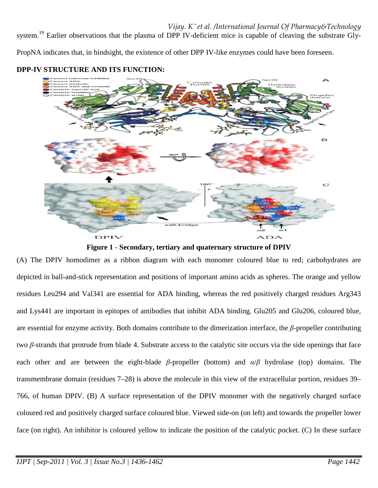system.<sup>19</sup> Earlier observations that the plasma of DPP IV-deficient mice is capable of cleaving the substrate Gly-

PropNA indicates that, in hindsight, the existence of other DPP IV-like enzymes could have been foreseen.



## **DPP-IV STRUCTURE AND ITS FUNCTION:**



(A) The DPIV homodimer as a ribbon diagram with each monomer coloured blue to red; carbohydrates are depicted in ball-and-stick representation and positions of important amino acids as spheres. The orange and yellow residues Leu294 and Val341 are essential for ADA binding, whereas the red positively charged residues Arg343 and Lys441 are important in epitopes of antibodies that inhibit ADA binding. Glu205 and Glu206, coloured blue, are essential for enzyme activity. Both domains contribute to the dimerization interface, the *β*-propeller contributing two *β*-strands that protrude from blade 4. Substrate access to the catalytic site occurs via the side openings that face each other and are between the eight-blade *β*-propeller (bottom) and *α*/*β* hydrolase (top) domains. The transmembrane domain (residues 7–28) is above the molecule in this view of the extracellular portion, residues 39– 766, of human DPIV. (B) A surface representation of the DPIV monomer with the negatively charged surface coloured red and positively charged surface coloured blue. Viewed side-on (on left) and towards the propeller lower face (on right). An inhibitor is coloured yellow to indicate the position of the catalytic pocket. (C) In these surface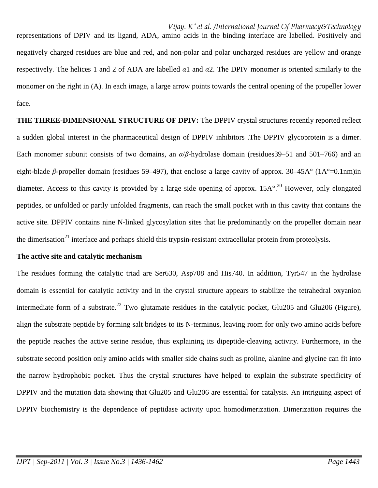representations of DPIV and its ligand, ADA, amino acids in the binding interface are labelled. Positively and negatively charged residues are blue and red, and non-polar and polar uncharged residues are yellow and orange respectively. The helices 1 and 2 of ADA are labelled *α*1 and *α*2. The DPIV monomer is oriented similarly to the monomer on the right in (A). In each image, a large arrow points towards the central opening of the propeller lower face.

**THE THREE-DIMENSIONAL STRUCTURE OF DPIV:** The DPPIV crystal structures recently reported reflect a sudden global interest in the pharmaceutical design of DPPIV inhibitors .The DPPIV glycoprotein is a dimer. Each monomer subunit consists of two domains, an *α*/*β*-hydrolase domain (residues39–51 and 501–766) and an eight-blade *β*-propeller domain (residues 59–497), that enclose a large cavity of approx. 30–45A° (1A°=0.1nm)in diameter. Access to this cavity is provided by a large side opening of approx.  $15A^{\circ}$ .<sup>20</sup> However, only elongated peptides, or unfolded or partly unfolded fragments, can reach the small pocket with in this cavity that contains the active site. DPPIV contains nine N-linked glycosylation sites that lie predominantly on the propeller domain near the dimerisation<sup>21</sup> interface and perhaps shield this trypsin-resistant extracellular protein from proteolysis.

#### **The active site and catalytic mechanism**

The residues forming the catalytic triad are Ser630, Asp708 and His740. In addition, Tyr547 in the hydrolase domain is essential for catalytic activity and in the crystal structure appears to stabilize the tetrahedral oxyanion intermediate form of a substrate.<sup>22</sup> Two glutamate residues in the catalytic pocket, Glu205 and Glu206 (Figure), align the substrate peptide by forming salt bridges to its N-terminus, leaving room for only two amino acids before the peptide reaches the active serine residue, thus explaining its dipeptide-cleaving activity. Furthermore, in the substrate second position only amino acids with smaller side chains such as proline, alanine and glycine can fit into the narrow hydrophobic pocket. Thus the crystal structures have helped to explain the substrate specificity of DPPIV and the mutation data showing that Glu205 and Glu206 are essential for catalysis. An intriguing aspect of DPPIV biochemistry is the dependence of peptidase activity upon homodimerization. Dimerization requires the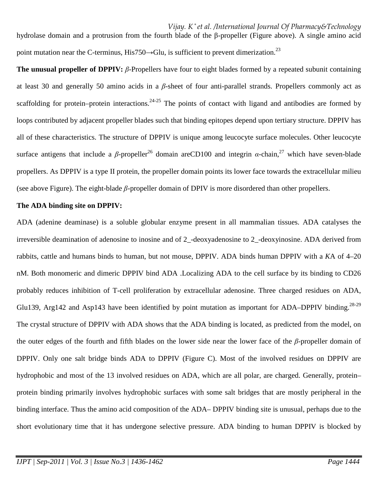*Vijay. K \* et al. /International Journal Of Pharmacy&Technology* hydrolase domain and a protrusion from the fourth blade of the β-propeller (Figure above). A single amino acid point mutation near the C-terminus, His750 $\rightarrow$ Glu, is sufficient to prevent dimerization.<sup>23</sup>

**The unusual propeller of DPPIV:** *β*-Propellers have four to eight blades formed by a repeated subunit containing at least 30 and generally 50 amino acids in a *β*-sheet of four anti-parallel strands. Propellers commonly act as scaffolding for protein–protein interactions.<sup>24-25</sup> The points of contact with ligand and antibodies are formed by loops contributed by adjacent propeller blades such that binding epitopes depend upon tertiary structure. DPPIV has all of these characteristics. The structure of DPPIV is unique among leucocyte surface molecules. Other leucocyte surface antigens that include a *β*-propeller<sup>26</sup> domain areCD100 and integrin *α*-chain,<sup>27</sup> which have seven-blade propellers. As DPPIV is a type II protein, the propeller domain points its lower face towards the extracellular milieu (see above Figure). The eight-blade *β*-propeller domain of DPIV is more disordered than other propellers.

#### **The ADA binding site on DPPIV:**

ADA (adenine deaminase) is a soluble globular enzyme present in all mammalian tissues. ADA catalyses the irreversible deamination of adenosine to inosine and of 2\_-deoxyadenosine to 2\_-deoxyinosine. ADA derived from rabbits, cattle and humans binds to human, but not mouse, DPPIV. ADA binds human DPPIV with a *K*A of 4–20 nM. Both monomeric and dimeric DPPIV bind ADA .Localizing ADA to the cell surface by its binding to CD26 probably reduces inhibition of T-cell proliferation by extracellular adenosine. Three charged residues on ADA, Glu139, Arg142 and Asp143 have been identified by point mutation as important for ADA–DPPIV binding.<sup>28-29</sup> The crystal structure of DPPIV with ADA shows that the ADA binding is located, as predicted from the model, on the outer edges of the fourth and fifth blades on the lower side near the lower face of the *β*-propeller domain of DPPIV. Only one salt bridge binds ADA to DPPIV (Figure C). Most of the involved residues on DPPIV are hydrophobic and most of the 13 involved residues on ADA, which are all polar, are charged. Generally, protein– protein binding primarily involves hydrophobic surfaces with some salt bridges that are mostly peripheral in the binding interface. Thus the amino acid composition of the ADA– DPPIV binding site is unusual, perhaps due to the short evolutionary time that it has undergone selective pressure. ADA binding to human DPPIV is blocked by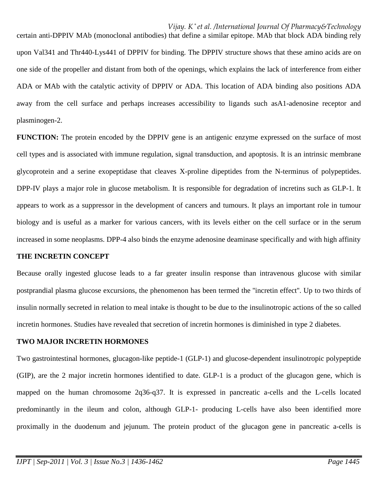certain anti-DPPIV MAb (monoclonal antibodies) that define a similar epitope. MAb that block ADA binding rely upon Val341 and Thr440-Lys441 of DPPIV for binding. The DPPIV structure shows that these amino acids are on one side of the propeller and distant from both of the openings, which explains the lack of interference from either ADA or MAb with the catalytic activity of DPPIV or ADA. This location of ADA binding also positions ADA away from the cell surface and perhaps increases accessibility to ligands such asA1-adenosine receptor and plasminogen-2.

**FUNCTION:** The protein encoded by the DPPIV gene is an antigenic enzyme expressed on the surface of most cell types and is associated with immune regulation, signal transduction, and apoptosis. It is an intrinsic membrane glycoprotein and a serine exopeptidase that cleaves X-proline dipeptides from the N-terminus of polypeptides. DPP-IV plays a major role in glucose metabolism. It is responsible for degradation of incretins such as GLP-1. It appears to work as a suppressor in the development of cancers and tumours. It plays an important role in tumour biology and is useful as a marker for various cancers, with its levels either on the cell surface or in the serum increased in some neoplasms. DPP-4 also binds the enzyme adenosine deaminase specifically and with high affinity

#### **THE INCRETIN CONCEPT**

Because orally ingested glucose leads to a far greater insulin response than intravenous glucose with similar postprandial plasma glucose excursions, the phenomenon has been termed the ''incretin effect''. Up to two thirds of insulin normally secreted in relation to meal intake is thought to be due to the insulinotropic actions of the so called incretin hormones. Studies have revealed that secretion of incretin hormones is diminished in type 2 diabetes.

#### **TWO MAJOR INCRETIN HORMONES**

Two gastrointestinal hormones, glucagon-like peptide-1 (GLP-1) and glucose-dependent insulinotropic polypeptide (GIP), are the 2 major incretin hormones identified to date. GLP-1 is a product of the glucagon gene, which is mapped on the human chromosome 2q36-q37. It is expressed in pancreatic a-cells and the L-cells located predominantly in the ileum and colon, although GLP-1- producing L-cells have also been identified more proximally in the duodenum and jejunum. The protein product of the glucagon gene in pancreatic a-cells is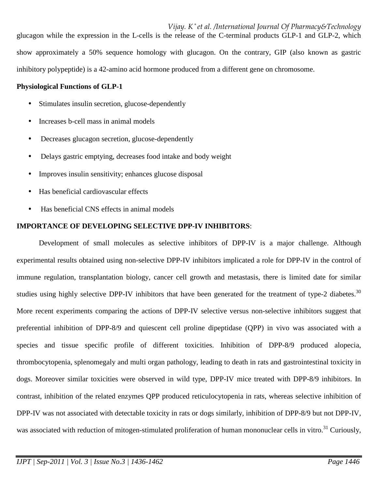*Vijay. K \* et al. /International Journal Of Pharmacy&Technology* glucagon while the expression in the L-cells is the release of the C-terminal products GLP-1 and GLP-2, which show approximately a 50% sequence homology with glucagon. On the contrary, GIP (also known as gastric inhibitory polypeptide) is a 42-amino acid hormone produced from a different gene on chromosome.

#### **Physiological Functions of GLP-1**

- Stimulates insulin secretion, glucose-dependently
- Increases b-cell mass in animal models
- Decreases glucagon secretion, glucose-dependently
- Delays gastric emptying, decreases food intake and body weight
- Improves insulin sensitivity; enhances glucose disposal
- Has beneficial cardiovascular effects
- Has beneficial CNS effects in animal models

#### **IMPORTANCE OF DEVELOPING SELECTIVE DPP-IV INHIBITORS**:

 Development of small molecules as selective inhibitors of DPP-IV is a major challenge. Although experimental results obtained using non-selective DPP-IV inhibitors implicated a role for DPP-IV in the control of immune regulation, transplantation biology, cancer cell growth and metastasis, there is limited date for similar studies using highly selective DPP-IV inhibitors that have been generated for the treatment of type-2 diabetes.<sup>30</sup> More recent experiments comparing the actions of DPP-IV selective versus non-selective inhibitors suggest that preferential inhibition of DPP-8/9 and quiescent cell proline dipeptidase (QPP) in vivo was associated with a species and tissue specific profile of different toxicities. Inhibition of DPP-8/9 produced alopecia, thrombocytopenia, splenomegaly and multi organ pathology, leading to death in rats and gastrointestinal toxicity in dogs. Moreover similar toxicities were observed in wild type, DPP-IV mice treated with DPP-8/9 inhibitors. In contrast, inhibition of the related enzymes QPP produced reticulocytopenia in rats, whereas selective inhibition of DPP-IV was not associated with detectable toxicity in rats or dogs similarly, inhibition of DPP-8/9 but not DPP-IV, was associated with reduction of mitogen-stimulated proliferation of human mononuclear cells in vitro.<sup>31</sup> Curiously,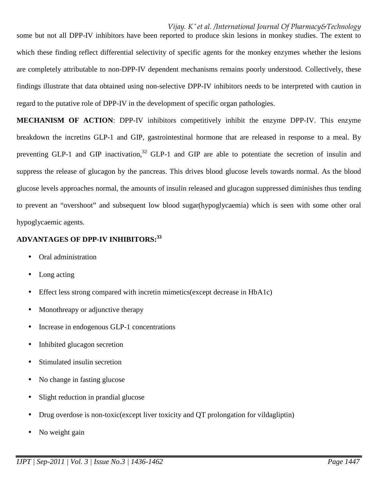some but not all DPP-IV inhibitors have been reported to produce skin lesions in monkey studies. The extent to which these finding reflect differential selectivity of specific agents for the monkey enzymes whether the lesions are completely attributable to non-DPP-IV dependent mechanisms remains poorly understood. Collectively, these findings illustrate that data obtained using non-selective DPP-IV inhibitors needs to be interpreted with caution in regard to the putative role of DPP-IV in the development of specific organ pathologies.

**MECHANISM OF ACTION**: DPP-IV inhibitors competitively inhibit the enzyme DPP-IV. This enzyme breakdown the incretins GLP-1 and GIP, gastrointestinal hormone that are released in response to a meal. By preventing GLP-1 and GIP inactivation,<sup>32</sup> GLP-1 and GIP are able to potentiate the secretion of insulin and suppress the release of glucagon by the pancreas. This drives blood glucose levels towards normal. As the blood glucose levels approaches normal, the amounts of insulin released and glucagon suppressed diminishes thus tending to prevent an "overshoot" and subsequent low blood sugar(hypoglycaemia) which is seen with some other oral hypoglycaemic agents.

# **ADVANTAGES OF DPP-IV INHIBITORS:<sup>33</sup>**

- Oral administration
- Long acting
- Effect less strong compared with incretin mimetics (except decrease in HbA1c)
- Monothreapy or adjunctive therapy
- Increase in endogenous GLP-1 concentrations
- Inhibited glucagon secretion
- Stimulated insulin secretion
- No change in fasting glucose
- Slight reduction in prandial glucose
- Drug overdose is non-toxic(except liver toxicity and QT prolongation for vildagliptin)
- No weight gain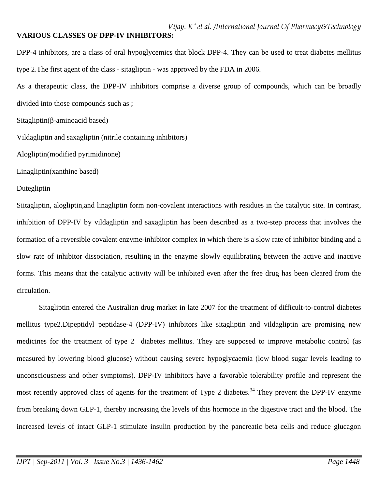## **VARIOUS CLASSES OF DPP-IV INHIBITORS:**

DPP-4 inhibitors, are a class of oral hypoglycemics that block DPP-4. They can be used to treat diabetes mellitus type 2.The first agent of the class - sitagliptin - was approved by the FDA in 2006.

As a therapeutic class, the DPP-IV inhibitors comprise a diverse group of compounds, which can be broadly divided into those compounds such as ;

Sitagliptin(β-aminoacid based)

Vildagliptin and saxagliptin (nitrile containing inhibitors)

Alogliptin(modified pyrimidinone)

Linagliptin(xanthine based)

#### Dutegliptin

Siitagliptin, alogliptin,and linagliptin form non-covalent interactions with residues in the catalytic site. In contrast, inhibition of DPP-IV by vildagliptin and saxagliptin has been described as a two-step process that involves the formation of a reversible covalent enzyme-inhibitor complex in which there is a slow rate of inhibitor binding and a slow rate of inhibitor dissociation, resulting in the enzyme slowly equilibrating between the active and inactive forms. This means that the catalytic activity will be inhibited even after the free drug has been cleared from the circulation.

Sitagliptin entered the Australian drug market in late 2007 for the treatment of difficult-to-control diabetes mellitus type2.Dipeptidyl peptidase-4 (DPP-IV) inhibitors like sitagliptin and vildagliptin are promising new medicines for the treatment of type 2 diabetes mellitus. They are supposed to improve metabolic control (as measured by lowering blood glucose) without causing severe hypoglycaemia (low blood sugar levels leading to unconsciousness and other symptoms). DPP-IV inhibitors have a favorable tolerability profile and represent the most recently approved class of agents for the treatment of Type 2 diabetes.<sup>34</sup> They prevent the DPP-IV enzyme from breaking down GLP-1, thereby increasing the levels of this hormone in the digestive tract and the blood. The increased levels of intact GLP-1 stimulate insulin production by the pancreatic beta cells and reduce glucagon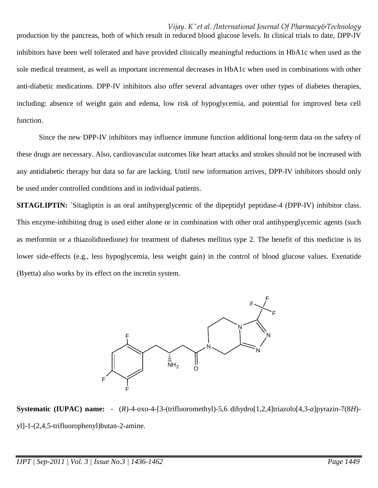production by the pancreas, both of which result in reduced blood glucose levels. In clinical trials to date, DPP-IV inhibitors have been well tolerated and have provided clinically meaningful reductions in HbA1c when used as the sole medical treatment, as well as important incremental decreases in HbA1c when used in combinations with other anti-diabetic medications. DPP-IV inhibitors also offer several advantages over other types of diabetes therapies, including: absence of weight gain and edema, low risk of hypoglycemia, and potential for improved beta cell function.

 Since the new DPP-IV inhibitors may influence immune function additional long-term data on the safety of these drugs are necessary. Also, cardiovascular outcomes like heart attacks and strokes should not be increased with any antidiabetic therapy but data so far are lacking. Until new information arrives, DPP-IV inhibitors should only be used under controlled conditions and in individual patients.

**SITAGLIPTIN:** `Sitagliptin is an oral antihyperglycemic of the dipeptidyl peptidase-4 (DPP-IV) inhibitor class. This enzyme-inhibiting drug is used either alone or in combination with other oral antihyperglycemic agents (such as metformin or a thiazolidinedione) for treatment of diabetes mellitus type 2. The benefit of this medicine is its lower side-effects (e.g., less hypoglycemia, less weight gain) in the control of blood glucose values. Exenatide (Byetta) also works by its effect on the incretin system.



**Systematic (IUPAC) name:** - (*R*)-4-oxo-4-[3-(trifluoromethyl)-5,6 dihydro[1,2,4]triazolo[4,3-*a*]pyrazin-7(8*H*) yl]-1-(2,4,5-trifluorophenyl)butan-2-amine.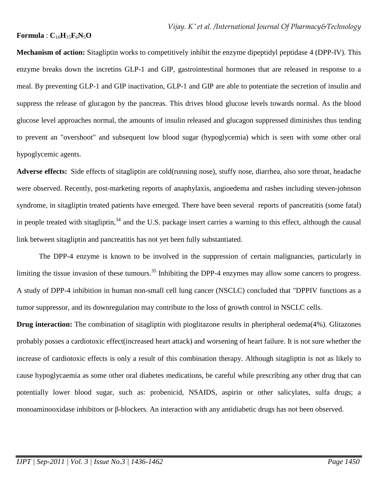### $$

**Mechanism of action:** Sitagliptin works to competitively inhibit the enzyme dipeptidyl peptidase 4 (DPP-IV). This enzyme breaks down the incretins GLP-1 and GIP, gastrointestinal hormones that are released in response to a meal. By preventing GLP-1 and GIP inactivation, GLP-1 and GIP are able to potentiate the secretion of insulin and suppress the release of glucagon by the pancreas. This drives blood glucose levels towards normal. As the blood glucose level approaches normal, the amounts of insulin released and glucagon suppressed diminishes thus tending to prevent an "overshoot" and subsequent low blood sugar (hypoglycemia) which is seen with some other oral hypoglycemic agents.

**Adverse effects:** Side effects of sitagliptin are cold(running nose), stuffy nose, diarrhea, also sore throat, headache were observed. Recently, post-marketing reports of anaphylaxis, angioedema and rashes including steven-johnson syndrome, in sitagliptin treated patients have emerged. There have been several reports of pancreatitis (some fatal) in people treated with sitagliptin, $34$  and the U.S. package insert carries a warning to this effect, although the causal link between sitagliptin and pancreatitis has not yet been fully substantiated.

The DPP-4 enzyme is known to be involved in the suppression of certain malignancies, particularly in limiting the tissue invasion of these tumours.<sup>35</sup> Inhibiting the DPP-4 enzymes may allow some cancers to progress. A study of DPP-4 inhibition in human non-small cell lung cancer (NSCLC) concluded that "DPPIV functions as a tumor suppressor, and its downregulation may contribute to the loss of growth control in NSCLC cells.

**Drug interaction:** The combination of sitagliptin with pioglitazone results in pheripheral oedema(4%). Glitazones probably posses a cardiotoxic effect(increased heart attack) and worsening of heart failure. It is not sure whether the increase of cardiotoxic effects is only a result of this combination therapy. Although sitagliptin is not as likely to cause hypoglycaemia as some other oral diabetes medications, be careful while prescribing any other drug that can potentially lower blood sugar, such as: probenicid, NSAIDS, aspirin or other salicylates, sulfa drugs; a monoaminooxidase inhibitors or β-blockers. An interaction with any antidiabetic drugs has not been observed.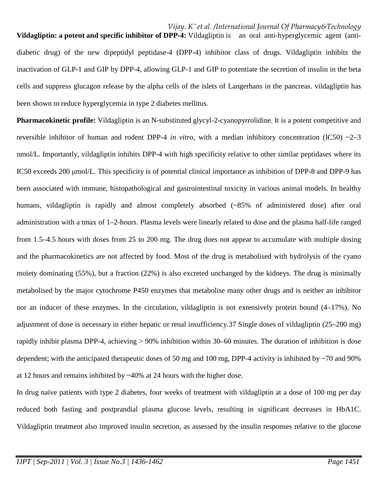**Vildagliptin: a potent and specific inhibitor of DPP-4:** Vildagliptin is an oral anti-hyperglycemic agent (antidiabetic drug) of the new dipeptidyl peptidase-4 (DPP-4) inhibitor class of drugs. Vildagliptin inhibits the inactivation of GLP-1 and GIP by DPP-4, allowing GLP-1 and GIP to potentiate the secretion of insulin in the beta cells and suppress glucagon release by the alpha cells of the islets of Langerhans in the pancreas. vildagliptin has been shown to reduce hyperglycemia in type 2 diabetes mellitus.

**Pharmacokinetic profile:** Vildagliptin is an N-substituted glycyl-2-cyanopyrrolidine. It is a potent competitive and reversible inhibitor of human and rodent DPP-4 *in vitro*, with a median inhibitory concentration (IC50) ~2–3 nmol/L. Importantly, vildagliptin inhibits DPP-4 with high specificity relative to other similar peptidases where its IC50 exceeds 200 µmol/L. This specificity is of potential clinical importance as inhibition of DPP-8 and DPP-9 has been associated with immune, histopathological and gastrointestinal toxicity in various animal models. In healthy humans, vildagliptin is rapidly and almost completely absorbed (~85% of administered dose) after oral administration with a tmax of 1–2-hours. Plasma levels were linearly related to dose and the plasma half-life ranged from 1.5–4.5 hours with doses from 25 to 200 mg. The drug does not appear to accumulate with multiple dosing and the pharmacokinetics are not affected by food. Most of the drug is metabolised with hydrolysis of the cyano moiety dominating (55%), but a fraction (22%) is also excreted unchanged by the kidneys. The drug is minimally metabolised by the major cytochrome P450 enzymes that metabolise many other drugs and is neither an inhibitor nor an inducer of these enzymes. In the circulation, vildagliptin is not extensively protein bound (4–17%). No adjustment of dose is necessary in either hepatic or renal insufficiency.37 Single doses of vildagliptin (25–200 mg) rapidly inhibit plasma DPP-4, achieving > 90% inhibition within 30–60 minutes. The duration of inhibition is dose dependent; with the anticipated therapeutic doses of 50 mg and 100 mg, DPP-4 activity is inhibited by  $\sim$ 70 and 90% at 12 hours and remains inhibited by ~40% at 24 hours with the higher dose.

In drug naïve patients with type 2 diabetes, four weeks of treatment with vildagliptin at a dose of 100 mg per day reduced both fasting and postprandial plasma glucose levels, resulting in significant decreases in HbA1C. Vildagliptin treatment also improved insulin secretion, as assessed by the insulin responses relative to the glucose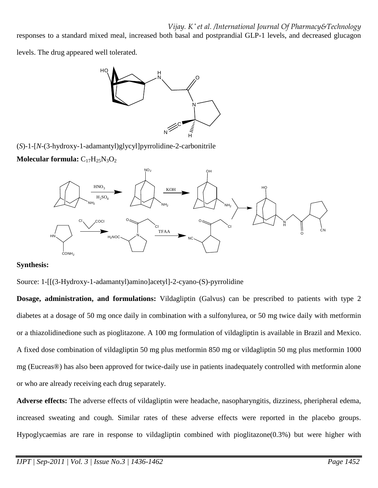responses to a standard mixed meal, increased both basal and postprandial GLP-1 levels, and decreased glucagon

levels. The drug appeared well tolerated.



(*S*)-1-[*N*-(3-hydroxy-1-adamantyl)glycyl]pyrrolidine-2-carbonitrile

**Molecular formula:**  $C_{17}H_{25}N_3O_2$ 



## **Synthesis:**

Source: 1-[[(3-Hydroxy-1-adamantyl)amino]acetyl]-2-cyano-(S)-pyrrolidine

**Dosage, administration, and formulations:** Vildagliptin (Galvus) can be prescribed to patients with type 2 diabetes at a dosage of 50 mg once daily in combination with a sulfonylurea, or 50 mg twice daily with metformin or a thiazolidinedione such as pioglitazone. A 100 mg formulation of vildagliptin is available in Brazil and Mexico. A fixed dose combination of vildagliptin 50 mg plus metformin 850 mg or vildagliptin 50 mg plus metformin 1000 mg (Eucreas®) has also been approved for twice-daily use in patients inadequately controlled with metformin alone or who are already receiving each drug separately.

**Adverse effects:** The adverse effects of vildagliptin were headache, nasopharyngitis, dizziness, pheripheral edema, increased sweating and cough. Similar rates of these adverse effects were reported in the placebo groups. Hypoglycaemias are rare in response to vildagliptin combined with pioglitazone(0.3%) but were higher with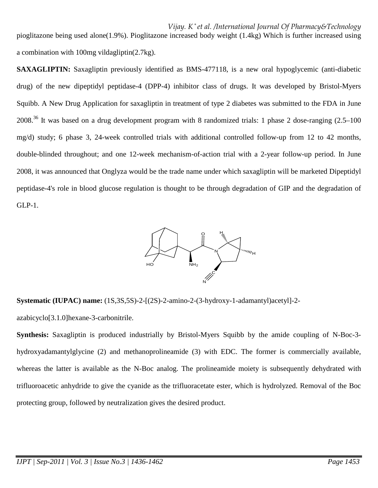*Vijay. K \* et al. /International Journal Of Pharmacy&Technology* pioglitazone being used alone(1.9%). Pioglitazone increased body weight (1.4kg) Which is further increased using a combination with 100mg vildagliptin(2.7kg).

**SAXAGLIPTIN:** Saxagliptin previously identified as BMS-477118, is a new oral hypoglycemic (anti-diabetic drug) of the new dipeptidyl peptidase-4 (DPP-4) inhibitor class of drugs. It was developed by Bristol-Myers Squibb. A New Drug Application for saxagliptin in treatment of type 2 diabetes was submitted to the FDA in June 2008.<sup>36</sup> It was based on a drug development program with 8 randomized trials: 1 phase 2 dose-ranging (2.5–100 mg/d) study; 6 phase 3, 24-week controlled trials with additional controlled follow-up from 12 to 42 months, double-blinded throughout; and one 12-week mechanism-of-action trial with a 2-year follow-up period. In June 2008, it was announced that Onglyza would be the trade name under which saxagliptin will be marketed Dipeptidyl peptidase-4's role in blood glucose regulation is thought to be through degradation of GIP and the degradation of GLP-1.



**Systematic (IUPAC) name:** (1S,3S,5S)-2-[(2S)-2-amino-2-(3-hydroxy-1-adamantyl)acetyl]-2-

azabicyclo[3.1.0]hexane-3-carbonitrile.

**Synthesis:** Saxagliptin is produced industrially by Bristol-Myers Squibb by the amide coupling of N-Boc-3 hydroxyadamantylglycine (2) and methanoprolineamide (3) with EDC. The former is commercially available, whereas the latter is available as the N-Boc analog. The prolineamide moiety is subsequently dehydrated with trifluoroacetic anhydride to give the cyanide as the trifluoracetate ester, which is hydrolyzed. Removal of the Boc protecting group, followed by neutralization gives the desired product.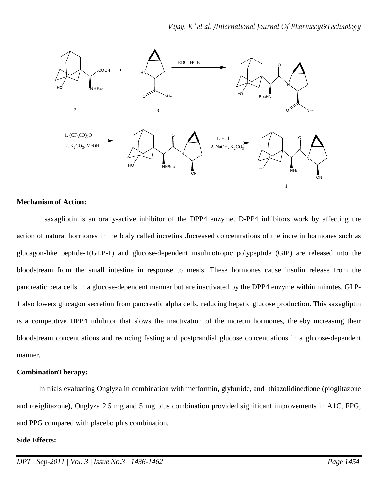

#### **Mechanism of Action:**

 saxagliptin is an orally-active inhibitor of the DPP4 enzyme. D-PP4 inhibitors work by affecting the action of natural hormones in the body called incretins .Increased concentrations of the incretin hormones such as glucagon-like peptide-1(GLP-1) and glucose-dependent insulinotropic polypeptide (GIP) are released into the bloodstream from the small intestine in response to meals. These hormones cause insulin release from the pancreatic beta cells in a glucose-dependent manner but are inactivated by the DPP4 enzyme within minutes. GLP-1 also lowers glucagon secretion from pancreatic alpha cells, reducing hepatic glucose production. This saxagliptin is a competitive DPP4 inhibitor that slows the inactivation of the incretin hormones, thereby increasing their bloodstream concentrations and reducing fasting and postprandial glucose concentrations in a glucose-dependent manner.

#### **CombinationTherapy:**

 In trials evaluating Onglyza in combination with metformin, glyburide, and thiazolidinedione (pioglitazone and rosiglitazone), Onglyza 2.5 mg and 5 mg plus combination provided significant improvements in A1C, FPG, and PPG compared with placebo plus combination.

#### **Side Effects:**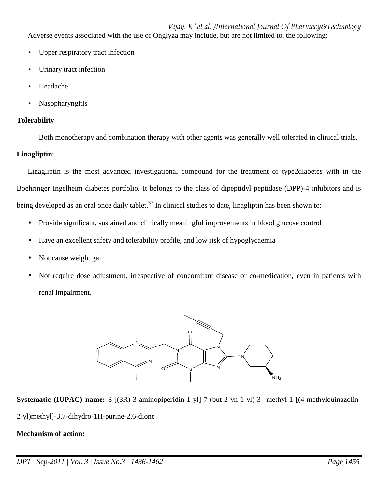*Vijay. K \* et al. /International Journal Of Pharmacy&Technology* Adverse events associated with the use of Onglyza may include, but are not limited to, the following:

- Upper respiratory tract infection
- Urinary tract infection
- Headache
- Nasopharyngitis

## **Tolerability**

Both monotherapy and combination therapy with other agents was generally well tolerated in clinical trials.

## **Linagliptin**:

Linagliptin is the most advanced investigational compound for the treatment of type2diabetes with in the Boehringer Ingelheim diabetes portfolio. It belongs to the class of dipeptidyl peptidase (DPP)-4 inhibitors and is being developed as an oral once daily tablet.<sup>37</sup> In clinical studies to date, linagliptin has been shown to:

- Provide significant, sustained and clinically meaningful improvements in blood glucose control
- Have an excellent safety and tolerability profile, and low risk of hypoglycaemia
- Not cause weight gain
- Not require dose adjustment, irrespective of concomitant disease or co-medication, even in patients with renal impairment.



**Systematic (IUPAC) name:** 8-[(3R)-3-aminopiperidin-1-yl]-7-(but-2-yn-1-yl)-3- methyl-1-[(4-methylquinazolin-2-yl)methyl]-3,7-dihydro-1H-purine-2,6-dione

## **Mechanism of action:**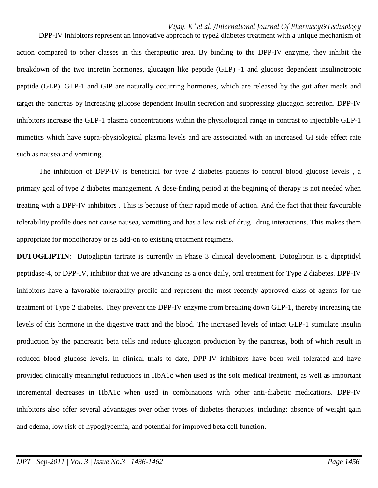DPP-IV inhibitors represent an innovative approach to type2 diabetes treatment with a unique mechanism of action compared to other classes in this therapeutic area. By binding to the DPP-IV enzyme, they inhibit the breakdown of the two incretin hormones, glucagon like peptide (GLP) -1 and glucose dependent insulinotropic peptide (GLP). GLP-1 and GIP are naturally occurring hormones, which are released by the gut after meals and target the pancreas by increasing glucose dependent insulin secretion and suppressing glucagon secretion. DPP-IV inhibitors increase the GLP-1 plasma concentrations within the physiological range in contrast to injectable GLP-1 mimetics which have supra-physiological plasma levels and are assosciated with an increased GI side effect rate such as nausea and vomiting.

The inhibition of DPP-IV is beneficial for type 2 diabetes patients to control blood glucose levels , a primary goal of type 2 diabetes management. A dose-finding period at the begining of therapy is not needed when treating with a DPP-IV inhibitors . This is because of their rapid mode of action. And the fact that their favourable tolerability profile does not cause nausea, vomitting and has a low risk of drug –drug interactions. This makes them appropriate for monotherapy or as add-on to existing treatment regimens.

**DUTOGLIPTIN:** Dutogliptin tartrate is currently in Phase 3 clinical development. Dutogliptin is a dipeptidyl peptidase-4, or DPP-IV, inhibitor that we are advancing as a once daily, oral treatment for Type 2 diabetes. DPP-IV inhibitors have a favorable tolerability profile and represent the most recently approved class of agents for the treatment of Type 2 diabetes. They prevent the DPP-IV enzyme from breaking down GLP-1, thereby increasing the levels of this hormone in the digestive tract and the blood. The increased levels of intact GLP-1 stimulate insulin production by the pancreatic beta cells and reduce glucagon production by the pancreas, both of which result in reduced blood glucose levels. In clinical trials to date, DPP-IV inhibitors have been well tolerated and have provided clinically meaningful reductions in HbA1c when used as the sole medical treatment, as well as important incremental decreases in HbA1c when used in combinations with other anti-diabetic medications. DPP-IV inhibitors also offer several advantages over other types of diabetes therapies, including: absence of weight gain and edema, low risk of hypoglycemia, and potential for improved beta cell function.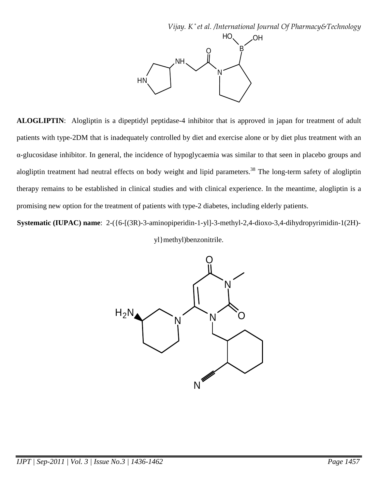

**ALOGLIPTIN**: Alogliptin is a dipeptidyl peptidase-4 inhibitor that is approved in japan for treatment of adult patients with type-2DM that is inadequately controlled by diet and exercise alone or by diet plus treatment with an α-glucosidase inhibitor. In general, the incidence of hypoglycaemia was similar to that seen in placebo groups and alogliptin treatment had neutral effects on body weight and lipid parameters.<sup>38</sup> The long-term safety of alogliptin therapy remains to be established in clinical studies and with clinical experience. In the meantime, alogliptin is a promising new option for the treatment of patients with type-2 diabetes, including elderly patients.

**Systematic (IUPAC) name**: 2-({6-[(3R)-3-aminopiperidin-1-yl]-3-methyl-2,4-dioxo-3,4-dihydropyrimidin-1(2H)-

yl}methyl)benzonitrile.

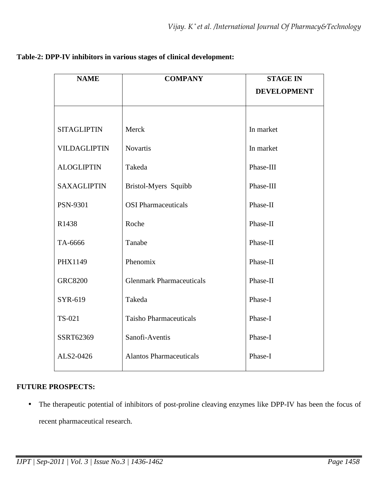| <b>NAME</b>         | <b>COMPANY</b>                  | <b>STAGE IN</b>    |
|---------------------|---------------------------------|--------------------|
|                     |                                 | <b>DEVELOPMENT</b> |
|                     |                                 |                    |
| <b>SITAGLIPTIN</b>  | Merck                           | In market          |
| <b>VILDAGLIPTIN</b> | <b>Novartis</b>                 | In market          |
| <b>ALOGLIPTIN</b>   | Takeda                          | Phase-III          |
| <b>SAXAGLIPTIN</b>  | Bristol-Myers Squibb            | Phase-III          |
| <b>PSN-9301</b>     | <b>OSI</b> Pharmaceuticals      | Phase-II           |
| R1438               | Roche                           | Phase-II           |
| TA-6666             | Tanabe                          | Phase-II           |
| PHX1149             | Phenomix                        | Phase-II           |
| <b>GRC8200</b>      | <b>Glenmark Pharmaceuticals</b> | Phase-II           |
| SYR-619             | Takeda                          | Phase-I            |
| TS-021              | <b>Taisho Pharmaceuticals</b>   | Phase-I            |
| SSRT62369           | Sanofi-Aventis                  | Phase-I            |
| ALS2-0426           | <b>Alantos Pharmaceuticals</b>  | Phase-I            |
|                     |                                 |                    |

# **Table-2: DPP-IV inhibitors in various stages of clinical development:**

# **FUTURE PROSPECTS:**

• The therapeutic potential of inhibitors of post-proline cleaving enzymes like DPP-IV has been the focus of recent pharmaceutical research.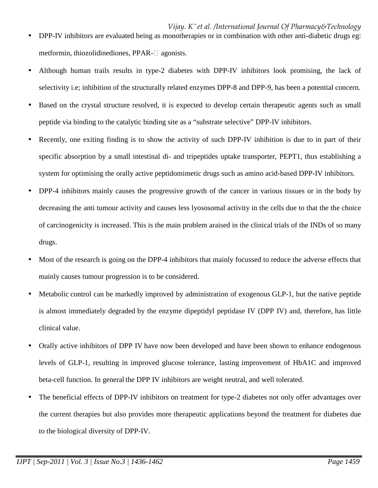- Although human trails results in type-2 diabetes with DPP-IV inhibitors look promising, the lack of selectivity i.e; inhibition of the structurally related enzymes DPP-8 and DPP-9, has been a potential concern.
- Based on the crystal structure resolved, it is expected to develop certain therapeutic agents such as small peptide via binding to the catalytic binding site as a "substrate selective" DPP-IV inhibitors.
- Recently, one exiting finding is to show the activity of such DPP-IV inhibition is due to in part of their specific absorption by a small intestinal di- and tripeptides uptake transporter, PEPT1, thus establishing a system for optimising the orally active peptidomimetic drugs such as amino acid-based DPP-IV inhibitors.
- DPP-4 inhibitors mainly causes the progressive growth of the cancer in various tissues or in the body by decreasing the anti tumour activity and causes less lyososomal activity in the cells due to that the the choice of carcinogenicity is increased. This is the main problem araised in the clinical trials of the INDs of so many drugs.
- Most of the research is going on the DPP-4 inhibitors that mainly focussed to reduce the adverse effects that mainly causes tumour progression is to be considered.
- Metabolic control can be markedly improved by administration of exogenous GLP-1, but the native peptide is almost immediately degraded by the enzyme dipeptidyl peptidase IV (DPP IV) and, therefore, has little clinical value.
- Orally active inhibitors of DPP IV have now been developed and have been shown to enhance endogenous levels of GLP-1, resulting in improved glucose tolerance, lasting improvement of HbA1C and improved beta-cell function. In general the DPP IV inhibitors are weight neutral, and well tolerated.
- The beneficial effects of DPP-IV inhibitors on treatment for type-2 diabetes not only offer advantages over the current therapies but also provides more therapeutic applications beyond the treatment for diabetes due to the biological diversity of DPP-IV.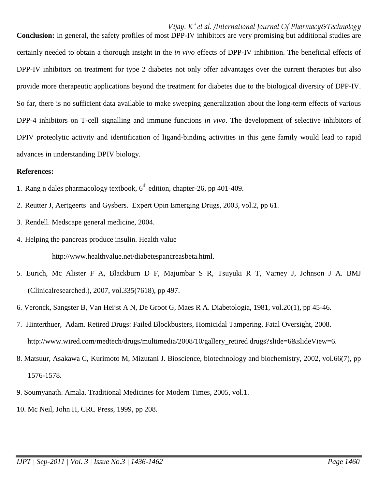**Conclusion:** In general, the safety profiles of most DPP-IV inhibitors are very promising but additional studies are certainly needed to obtain a thorough insight in the *in vivo* effects of DPP-IV inhibition. The beneficial effects of DPP-IV inhibitors on treatment for type 2 diabetes not only offer advantages over the current therapies but also provide more therapeutic applications beyond the treatment for diabetes due to the biological diversity of DPP-IV. So far, there is no sufficient data available to make sweeping generalization about the long-term effects of various DPP-4 inhibitors on T-cell signalling and immune functions *in vivo*. The development of selective inhibitors of DPIV proteolytic activity and identification of ligand-binding activities in this gene family would lead to rapid advances in understanding DPIV biology.

#### **References:**

- 1. Rang n dales pharmacology textbook,  $6<sup>th</sup>$  edition, chapter-26, pp 401-409.
- 2. Reutter J, Aertgeerts and Gysbers. Expert Opin Emerging Drugs, 2003, vol.2, pp 61.
- 3. Rendell. Medscape general medicine, 2004.
- 4. Helping the pancreas produce insulin. Health value http://www.healthvalue.net/diabetespancreasbeta.html.
- 5. Eurich, Mc Alister F A, Blackburn D F, Majumbar S R, Tsuyuki R T, Varney J, Johnson J A. BMJ (Clinicalresearched.), 2007, vol.335(7618), pp 497.
- 6. Veronck, Sangster B, Van Heijst A N, De Groot G, Maes R A. Diabetologia, 1981, vol.20(1), pp 45-46.
- 7. Hinterthuer, Adam. Retired Drugs: Failed Blockbusters, Homicidal Tampering, Fatal Oversight, 2008. http://www.wired.com/medtech/drugs/multimedia/2008/10/gallery\_retired drugs?slide=6&slideView=6.
- 8. Matsuur, Asakawa C, Kurimoto M, Mizutani J. Bioscience, biotechnology and biochemistry, 2002, vol.66(7), pp 1576-1578.
- 9. Soumyanath. Amala. Traditional Medicines for Modern Times, 2005, vol.1.
- 10. Mc Neil, John H, CRC Press, 1999, pp 208.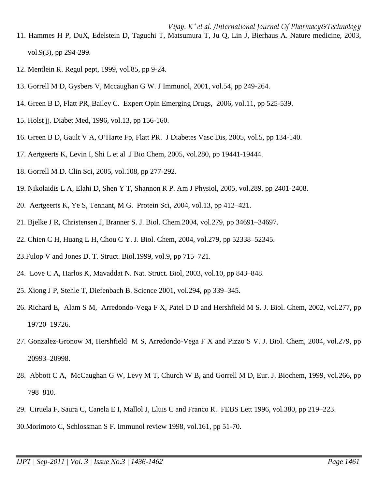- 11. Hammes H P, DuX, Edelstein D, Taguchi T, Matsumura T, Ju Q, Lin J, Bierhaus A. Nature medicine, 2003, vol.9(3), pp 294-299.
- 12. Mentlein R. Regul pept, 1999, vol.85, pp 9-24.
- 13. Gorrell M D, Gysbers V, Mccaughan G W. J Immunol, 2001, vol.54, pp 249-264.
- 14. Green B D, Flatt PR, Bailey C. Expert Opin Emerging Drugs, 2006, vol.11, pp 525-539.
- 15. Holst jj. Diabet Med, 1996, vol.13, pp 156-160.
- 16. Green B D, Gault V A, O'Harte Fp, Flatt PR. J Diabetes Vasc Dis, 2005, vol.5, pp 134-140.
- 17. Aertgeerts K, Levin I, Shi L et al .J Bio Chem, 2005, vol.280, pp 19441-19444.
- 18. Gorrell M D. Clin Sci, 2005, vol.108, pp 277-292.
- 19. Nikolaidis L A, Elahi D, Shen Y T, Shannon R P. Am J Physiol, 2005, vol.289, pp 2401-2408.
- 20. Aertgeerts K, Ye S, Tennant, M G. Protein Sci, 2004, vol.13, pp 412–421.
- 21. Bjelke J R, Christensen J, Branner S. J. Biol. Chem.2004, vol.279, pp 34691–34697.
- 22. Chien C H, Huang L H, Chou C Y. J. Biol. Chem, 2004, vol.279, pp 52338–52345.
- 23.Fulop V and Jones D. T. Struct. Biol.1999, vol.9, pp 715–721.
- 24. Love C A, Harlos K, Mavaddat N. Nat. Struct. Biol, 2003, vol.10, pp 843–848.
- 25. Xiong J P, Stehle T, Diefenbach B. Science 2001, vol.294, pp 339–345.
- 26. Richard E, Alam S M, Arredondo-Vega F X, Patel D D and Hershfield M S. J. Biol. Chem, 2002, vol.277, pp 19720–19726.
- 27. Gonzalez-Gronow M, Hershfield M S, Arredondo-Vega F X and Pizzo S V. J. Biol. Chem, 2004, vol.279, pp 20993–20998.
- 28. Abbott C A, McCaughan G W, Levy M T, Church W B, and Gorrell M D, Eur. J. Biochem, 1999, vol.266, pp 798–810.
- 29. Ciruela F, Saura C, Canela E I, Mallol J, Lluis C and Franco R. FEBS Lett 1996, vol.380, pp 219–223.

30.Morimoto C, Schlossman S F. Immunol review 1998, vol.161, pp 51-70.